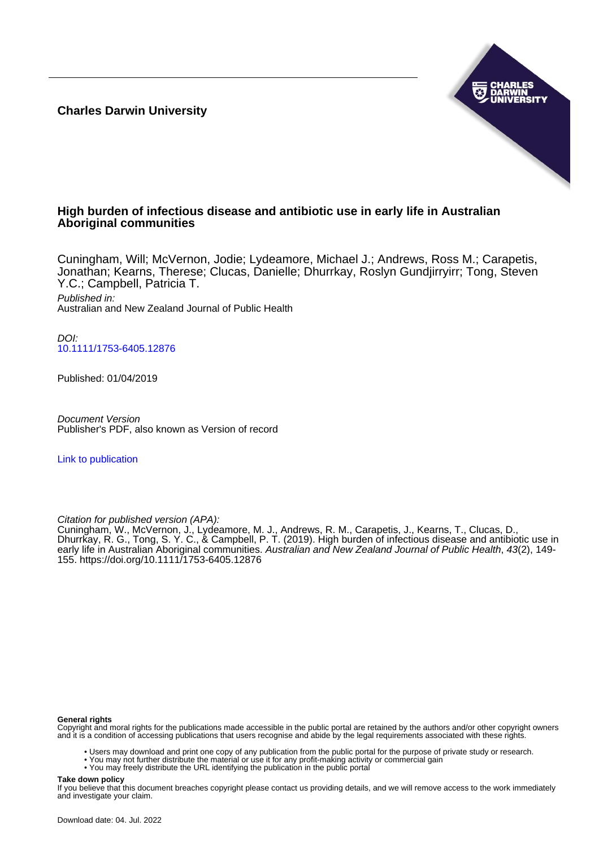**Charles Darwin University**



## **High burden of infectious disease and antibiotic use in early life in Australian Aboriginal communities**

Cuningham, Will; McVernon, Jodie; Lydeamore, Michael J.; Andrews, Ross M.; Carapetis, Jonathan; Kearns, Therese; Clucas, Danielle; Dhurrkay, Roslyn Gundjirryirr; Tong, Steven Y.C.; Campbell, Patricia T. Published in:

Australian and New Zealand Journal of Public Health

DOI: [10.1111/1753-6405.12876](https://doi.org/10.1111/1753-6405.12876)

Published: 01/04/2019

Document Version Publisher's PDF, also known as Version of record

[Link to publication](https://researchers.cdu.edu.au/en/publications/3cd7724c-5230-4bde-84a2-c1f30cd833e8)

Citation for published version (APA):

Cuningham, W., McVernon, J., Lydeamore, M. J., Andrews, R. M., Carapetis, J., Kearns, T., Clucas, D., Dhurrkay, R. G., Tong, S. Y. C., & Campbell, P. T. (2019). High burden of infectious disease and antibiotic use in early life in Australian Aboriginal communities. Australian and New Zealand Journal of Public Health, 43(2), 149-155.<https://doi.org/10.1111/1753-6405.12876>

#### **General rights**

Copyright and moral rights for the publications made accessible in the public portal are retained by the authors and/or other copyright owners and it is a condition of accessing publications that users recognise and abide by the legal requirements associated with these rights.

• Users may download and print one copy of any publication from the public portal for the purpose of private study or research.

• You may not further distribute the material or use it for any profit-making activity or commercial gain

• You may freely distribute the URL identifying the publication in the public portal

#### **Take down policy**

If you believe that this document breaches copyright please contact us providing details, and we will remove access to the work immediately and investigate your claim.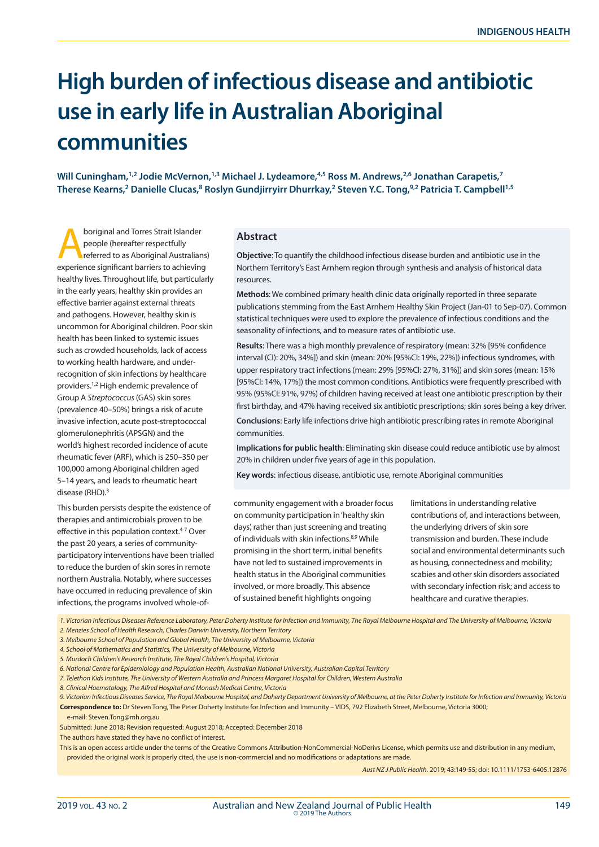# **High burden of infectious disease and antibiotic use in early life in Australian Aboriginal communities**

**Will Cuningham,1,2 Jodie McVernon,1,3 Michael J. Lydeamore,4,5 Ross M. Andrews,2,6 Jonathan Carapetis,7** Therese Kearns,<sup>2</sup> Danielle Clucas,<sup>8</sup> Roslyn Gundjirryirr Dhurrkay,<sup>2</sup> Steven Y.C. Tong,<sup>9,2</sup> Patricia T. Campbell<sup>1,5</sup>

**Aboriginal and Torres Strait Islander<br>
people (hereafter respectfully<br>
referred to as Aboriginal Australians)**<br>
people cionificant barriers to ashioving people (hereafter respectfully experience significant barriers to achieving healthy lives. Throughout life, but particularly in the early years, healthy skin provides an effective barrier against external threats and pathogens. However, healthy skin is uncommon for Aboriginal children. Poor skin health has been linked to systemic issues such as crowded households, lack of access to working health hardware, and underrecognition of skin infections by healthcare providers.1,2 High endemic prevalence of Group A *Streptococcus* (GAS) skin sores (prevalence 40–50%) brings a risk of acute invasive infection, acute post-streptococcal glomerulonephritis (APSGN) and the world's highest recorded incidence of acute rheumatic fever (ARF), which is 250–350 per 100,000 among Aboriginal children aged 5–14 years, and leads to rheumatic heart disease (RHD).3

This burden persists despite the existence of therapies and antimicrobials proven to be effective in this population context.<sup>4-7</sup> Over the past 20 years, a series of communityparticipatory interventions have been trialled to reduce the burden of skin sores in remote northern Australia. Notably, where successes have occurred in reducing prevalence of skin infections, the programs involved whole-of-

#### **Abstract**

**Objective**: To quantify the childhood infectious disease burden and antibiotic use in the Northern Territory's East Arnhem region through synthesis and analysis of historical data resources.

**Methods**: We combined primary health clinic data originally reported in three separate publications stemming from the East Arnhem Healthy Skin Project (Jan-01 to Sep-07). Common statistical techniques were used to explore the prevalence of infectious conditions and the seasonality of infections, and to measure rates of antibiotic use.

**Results**: There was a high monthly prevalence of respiratory (mean: 32% [95% confidence interval (CI): 20%, 34%]) and skin (mean: 20% [95%CI: 19%, 22%]) infectious syndromes, with upper respiratory tract infections (mean: 29% [95%CI: 27%, 31%]) and skin sores (mean: 15% [95%CI: 14%, 17%]) the most common conditions. Antibiotics were frequently prescribed with 95% (95%CI: 91%, 97%) of children having received at least one antibiotic prescription by their first birthday, and 47% having received six antibiotic prescriptions; skin sores being a key driver.

**Conclusions**: Early life infections drive high antibiotic prescribing rates in remote Aboriginal communities.

**Implications for public health**: Eliminating skin disease could reduce antibiotic use by almost 20% in children under five years of age in this population.

**Key words**: infectious disease, antibiotic use, remote Aboriginal communities

community engagement with a broader focus on community participation in 'healthy skin days', rather than just screening and treating of individuals with skin infections.8,9 While promising in the short term, initial benefits have not led to sustained improvements in health status in the Aboriginal communities involved, or more broadly. This absence of sustained benefit highlights ongoing

limitations in understanding relative contributions of, and interactions between, the underlying drivers of skin sore transmission and burden. These include social and environmental determinants such as housing, connectedness and mobility; scabies and other skin disorders associated with secondary infection risk; and access to healthcare and curative therapies.

*1. Victorian Infectious Diseases Reference Laboratory, Peter Doherty Institute for Infection and Immunity, The Royal Melbourne Hospital and The University of Melbourne, Victoria*

- *2. Menzies School of Health Research, Charles Darwin University, Northern Territory*
- *3. Melbourne School of Population and Global Health, The University of Melbourne, Victoria*
- *4. School of Mathematics and Statistics, The University of Melbourne, Victoria 5. Murdoch Children's Research Institute, The Royal Children's Hospital, Victoria*
- 
- *6. National Centre for Epidemiology and Population Health, Australian National University, Australian Capital Territory*
- *7. Telethon Kids Institute, The University of Western Australia and Princess Margaret Hospital for Children, Western Australia*
- *8. Clinical Haematology, The Alfred Hospital and Monash Medical Centre, Victoria*
- *9. Victorian Infectious Diseases Service, The Royal Melbourne Hospital, and Doherty Department University of Melbourne, at the Peter Doherty Institute for Infection and Immunity, Victoria* **Correspondence to:** Dr Steven Tong, The Peter Doherty Institute for Infection and Immunity – VIDS, 792 Elizabeth Street, Melbourne, Victoria 3000; e-mail: Steven.Tong@mh.org.au
- Submitted: June 2018; Revision requested: August 2018; Accepted: December 2018
- The authors have stated they have no conflict of interest.

This is an open access article under the terms of the Creative Commons Attribution-NonCommercial-NoDerivs License, which permits use and distribution in any medium, provided the original work is properly cited, the use is non-commercial and no modifications or adaptations are made.

*Aust NZ J Public Health.* 2019; 43:149-55; doi: 10.1111/1753-6405.12876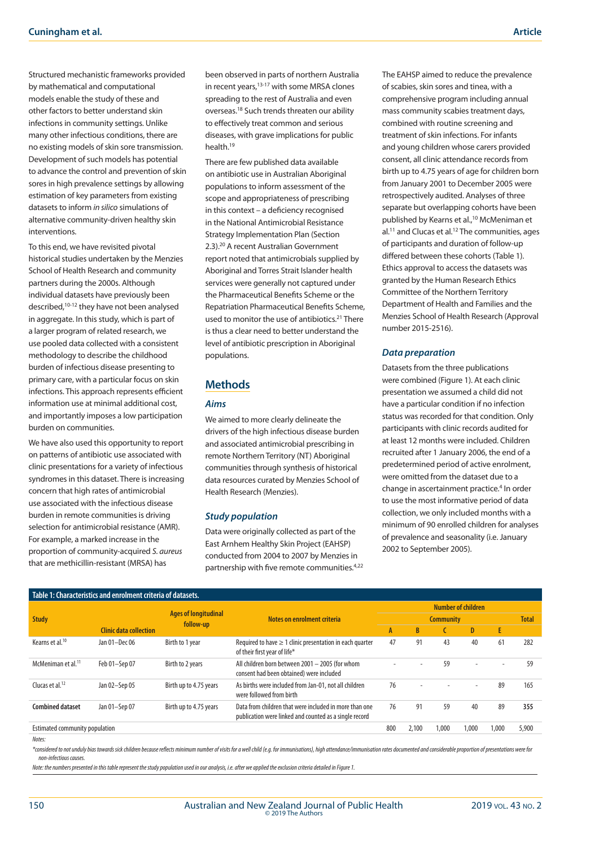Structured mechanistic frameworks provided by mathematical and computational models enable the study of these and other factors to better understand skin infections in community settings. Unlike many other infectious conditions, there are no existing models of skin sore transmission. Development of such models has potential to advance the control and prevention of skin sores in high prevalence settings by allowing estimation of key parameters from existing datasets to inform *in silico* simulations of alternative community-driven healthy skin interventions.

To this end, we have revisited pivotal historical studies undertaken by the Menzies School of Health Research and community partners during the 2000s. Although individual datasets have previously been described,10-12 they have not been analysed in aggregate. In this study, which is part of a larger program of related research, we use pooled data collected with a consistent methodology to describe the childhood burden of infectious disease presenting to primary care, with a particular focus on skin infections. This approach represents efficient information use at minimal additional cost, and importantly imposes a low participation burden on communities.

We have also used this opportunity to report on patterns of antibiotic use associated with clinic presentations for a variety of infectious syndromes in this dataset. There is increasing concern that high rates of antimicrobial use associated with the infectious disease burden in remote communities is driving selection for antimicrobial resistance (AMR). For example, a marked increase in the proportion of community-acquired *S. aureus* that are methicillin-resistant (MRSA) has

been observed in parts of northern Australia in recent years,13-17 with some MRSA clones spreading to the rest of Australia and even overseas.18 Such trends threaten our ability to effectively treat common and serious diseases, with grave implications for public health<sup>19</sup>

There are few published data available on antibiotic use in Australian Aboriginal populations to inform assessment of the scope and appropriateness of prescribing in this context – a deficiency recognised in the National Antimicrobial Resistance Strategy Implementation Plan (Section 2.3).20 A recent Australian Government report noted that antimicrobials supplied by Aboriginal and Torres Strait Islander health services were generally not captured under the Pharmaceutical Benefits Scheme or the Repatriation Pharmaceutical Benefits Scheme, used to monitor the use of antibiotics.<sup>21</sup> There is thus a clear need to better understand the level of antibiotic prescription in Aboriginal populations.

## **Methods**

### *Aims*

We aimed to more clearly delineate the drivers of the high infectious disease burden and associated antimicrobial prescribing in remote Northern Territory (NT) Aboriginal communities through synthesis of historical data resources curated by Menzies School of Health Research (Menzies).

#### *Study population*

Data were originally collected as part of the East Arnhem Healthy Skin Project (EAHSP) conducted from 2004 to 2007 by Menzies in partnership with five remote communities.4,22 The EAHSP aimed to reduce the prevalence of scabies, skin sores and tinea, with a comprehensive program including annual mass community scabies treatment days, combined with routine screening and treatment of skin infections. For infants and young children whose carers provided consent, all clinic attendance records from birth up to 4.75 years of age for children born from January 2001 to December 2005 were retrospectively audited. Analyses of three separate but overlapping cohorts have been published by Kearns et al.,10 McMeniman et al.11 and Clucas et al.12 The communities, ages of participants and duration of follow-up differed between these cohorts (Table 1). Ethics approval to access the datasets was granted by the Human Research Ethics Committee of the Northern Territory Department of Health and Families and the Menzies School of Health Research (Approval number 2015-2516).

#### *Data preparation*

Datasets from the three publications were combined (Figure 1). At each clinic presentation we assumed a child did not have a particular condition if no infection status was recorded for that condition. Only participants with clinic records audited for at least 12 months were included. Children recruited after 1 January 2006, the end of a predetermined period of active enrolment, were omitted from the dataset due to a change in ascertainment practice.<sup>4</sup> In order to use the most informative period of data collection, we only included months with a minimum of 90 enrolled children for analyses of prevalence and seasonality (i.e. January 2002 to September 2005).

| Table 1: Characteristics and enrolment criteria of datasets. |                               |                                          |                                                                                                                  |                                               |              |       |                          |       |              |
|--------------------------------------------------------------|-------------------------------|------------------------------------------|------------------------------------------------------------------------------------------------------------------|-----------------------------------------------|--------------|-------|--------------------------|-------|--------------|
| <b>Study</b>                                                 |                               | <b>Ages of longitudinal</b><br>follow-up | Notes on enrolment criteria                                                                                      | <b>Number of children</b><br><b>Community</b> |              |       |                          |       | <b>Total</b> |
|                                                              | <b>Clinic data collection</b> |                                          |                                                                                                                  | A                                             | <sub>R</sub> |       | D.                       | E     |              |
| Kearns et al. <sup>10</sup>                                  | Jan 01-Dec 06                 | Birth to 1 year                          | Required to have $\geq 1$ clinic presentation in each quarter<br>of their first year of life*                    | 47                                            | 91           | 43    | 40                       | 61    | 282          |
| McMeniman et al. <sup>11</sup>                               | Feb 01-Sep 07                 | Birth to 2 years                         | All children born between 2001 - 2005 (for whom<br>consent had been obtained) were included                      | ۰                                             |              | 59    | ٠                        |       | 59           |
| Clucas et al. <sup>12</sup>                                  | Jan 02-Sep 05                 | Birth up to 4.75 years                   | As births were included from Jan-01, not all children<br>were followed from birth                                | 76                                            | $\sim$       |       | $\overline{\phantom{0}}$ | 89    | 165          |
| <b>Combined dataset</b>                                      | Jan 01-Sep 07                 | Birth up to 4.75 years                   | Data from children that were included in more than one<br>publication were linked and counted as a single record | 76                                            | 91           | 59    | 40                       | 89    | 355          |
| Estimated community population                               |                               |                                          |                                                                                                                  | 800                                           | 2,100        | 1.000 | 1,000                    | 1.000 | 5,900        |

#### *Notes:*

\*considered to not unduly bias towards sick children because reflects minimum number of visits for a well child (e.g. for immunisations), high attendance/immunisation rates documented and considerable proportion of present *non-infectious causes.*

*Note: the numbers presented in this table represent the study population used in our analysis, i.e. after we applied the exclusion criteria detailed in Figure 1.*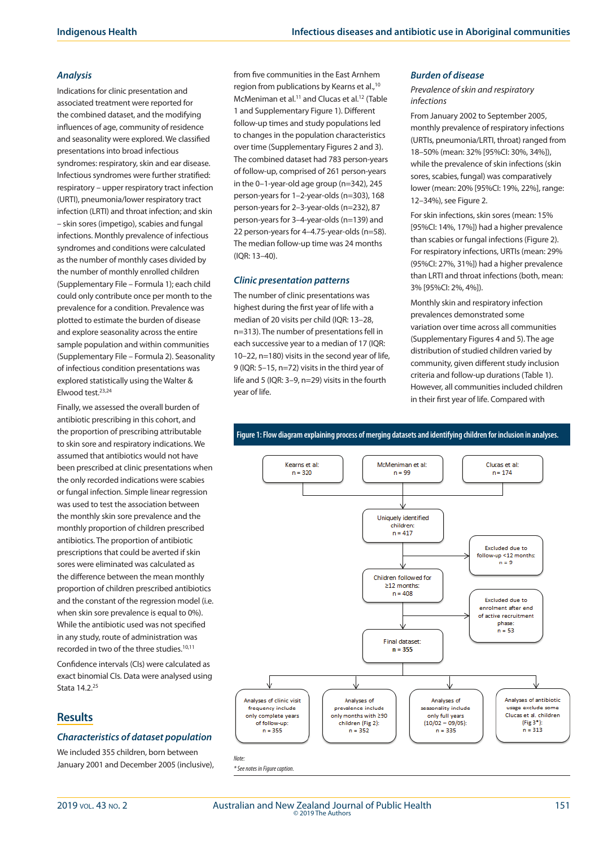#### *Analysis*

Indications for clinic presentation and associated treatment were reported for the combined dataset, and the modifying influences of age, community of residence and seasonality were explored. We classified presentations into broad infectious syndromes: respiratory, skin and ear disease. Infectious syndromes were further stratified: respiratory – upper respiratory tract infection (URTI), pneumonia/lower respiratory tract infection (LRTI) and throat infection; and skin – skin sores (impetigo), scabies and fungal infections. Monthly prevalence of infectious syndromes and conditions were calculated as the number of monthly cases divided by the number of monthly enrolled children (Supplementary File – Formula 1); each child could only contribute once per month to the prevalence for a condition. Prevalence was plotted to estimate the burden of disease and explore seasonality across the entire sample population and within communities (Supplementary File – Formula 2). Seasonality of infectious condition presentations was explored statistically using the Walter & Elwood test.23,24

Finally, we assessed the overall burden of antibiotic prescribing in this cohort, and the proportion of prescribing attributable to skin sore and respiratory indications. We assumed that antibiotics would not have been prescribed at clinic presentations when the only recorded indications were scabies or fungal infection. Simple linear regression was used to test the association between the monthly skin sore prevalence and the monthly proportion of children prescribed antibiotics. The proportion of antibiotic prescriptions that could be averted if skin sores were eliminated was calculated as the difference between the mean monthly proportion of children prescribed antibiotics and the constant of the regression model (i.e. when skin sore prevalence is equal to 0%). While the antibiotic used was not specified in any study, route of administration was recorded in two of the three studies.<sup>10,11</sup>

Confidence intervals (CIs) were calculated as exact binomial CIs. Data were analysed using Stata 14.2.25

## **Results**

#### *Characteristics of dataset population*

We included 355 children, born between January 2001 and December 2005 (inclusive), from five communities in the East Arnhem region from publications by Kearns et al.,10 McMeniman et al.<sup>11</sup> and Clucas et al.<sup>12</sup> (Table 1 and Supplementary Figure 1). Different follow-up times and study populations led to changes in the population characteristics over time (Supplementary Figures 2 and 3). The combined dataset had 783 person-years of follow-up, comprised of 261 person-years in the 0–1-year-old age group (n=342), 245 person-years for 1–2-year-olds (n=303), 168 person-years for 2–3-year-olds (n=232), 87 person-years for 3–4-year-olds (n=139) and 22 person-years for 4–4.75-year-olds (n=58). The median follow-up time was 24 months (IQR: 13–40).

#### *Clinic presentation patterns*

The number of clinic presentations was highest during the first year of life with a median of 20 visits per child (IQR: 13–28, n=313). The number of presentations fell in each successive year to a median of 17 (IQR: 10–22, n=180) visits in the second year of life, 9 (IQR: 5–15, n=72) visits in the third year of life and 5 (IQR: 3–9, n=29) visits in the fourth year of life.

#### *Burden of disease*

#### *Prevalence of skin and respiratory infections*

From January 2002 to September 2005, monthly prevalence of respiratory infections (URTIs, pneumonia/LRTI, throat) ranged from 18–50% (mean: 32% [95%CI: 30%, 34%]), while the prevalence of skin infections (skin sores, scabies, fungal) was comparatively lower (mean: 20% [95%CI: 19%, 22%], range: 12–34%), see Figure 2.

For skin infections, skin sores (mean: 15% [95%CI: 14%, 17%]) had a higher prevalence than scabies or fungal infections (Figure 2). For respiratory infections, URTIs (mean: 29% (95%CI: 27%, 31%]) had a higher prevalence than LRTI and throat infections (both, mean: 3% [95%CI: 2%, 4%]).

Monthly skin and respiratory infection prevalences demonstrated some variation over time across all communities (Supplementary Figures 4 and 5). The age distribution of studied children varied by community, given different study inclusion criteria and follow-up durations (Table 1). However, all communities included children in their first year of life. Compared with



**Figure 1: Flow diagram explaining process of merging datasets and identifying children for inclusion in analyses.**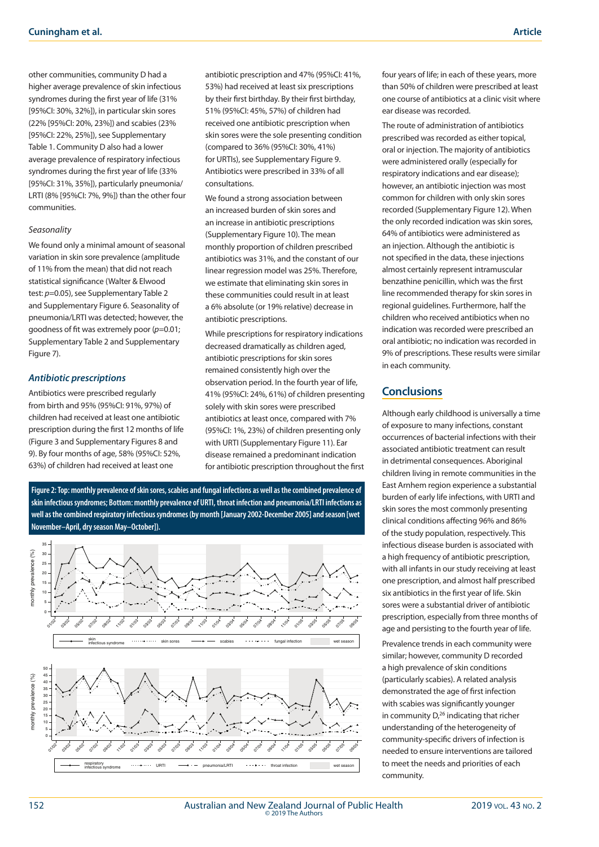other communities, community D had a higher average prevalence of skin infectious syndromes during the first year of life (31% [95%CI: 30%, 32%]), in particular skin sores (22% [95%CI: 20%, 23%]) and scabies (23% [95%CI: 22%, 25%]), see Supplementary Table 1. Community D also had a lower average prevalence of respiratory infectious syndromes during the first year of life (33% [95%CI: 31%, 35%]), particularly pneumonia/ LRTI (8% [95%CI: 7%, 9%]) than the other four communities.

#### *Seasonality*

We found only a minimal amount of seasonal variation in skin sore prevalence (amplitude of 11% from the mean) that did not reach statistical significance (Walter & Elwood test: *p*=0.05), see Supplementary Table 2 and Supplementary Figure 6. Seasonality of pneumonia/LRTI was detected; however, the goodness of fit was extremely poor (*p*=0.01; Supplementary Table 2 and Supplementary Figure 7).

## *Antibiotic prescriptions*

Antibiotics were prescribed regularly from birth and 95% (95%CI: 91%, 97%) of children had received at least one antibiotic prescription during the first 12 months of life (Figure 3 and Supplementary Figures 8 and 9). By four months of age, 58% (95%CI: 52%, 63%) of children had received at least one

antibiotic prescription and 47% (95%CI: 41%, 53%) had received at least six prescriptions by their first birthday. By their first birthday, 51% (95%CI: 45%, 57%) of children had received one antibiotic prescription when skin sores were the sole presenting condition (compared to 36% (95%CI: 30%, 41%) for URTIs), see Supplementary Figure 9. Antibiotics were prescribed in 33% of all consultations.

We found a strong association between an increased burden of skin sores and an increase in antibiotic prescriptions (Supplementary Figure 10). The mean monthly proportion of children prescribed antibiotics was 31%, and the constant of our linear regression model was 25%. Therefore, we estimate that eliminating skin sores in these communities could result in at least a 6% absolute (or 19% relative) decrease in antibiotic prescriptions.

While prescriptions for respiratory indications decreased dramatically as children aged, antibiotic prescriptions for skin sores remained consistently high over the observation period. In the fourth year of life, 41% (95%CI: 24%, 61%) of children presenting solely with skin sores were prescribed antibiotics at least once, compared with 7% (95%CI: 1%, 23%) of children presenting only with URTI (Supplementary Figure 11). Ear disease remained a predominant indication for antibiotic prescription throughout the first

**Figure 2: Top: monthly prevalence of skin sores, scabies and fungal infections as well as the combined prevalence of skin infectious syndromes; Bottom: monthly prevalence of URTI, throat infection and pneumonia/LRTI infections as well as the combined respiratory infectious syndromes (by month [January 2002-December 2005] and season [wet November–April, dry season May–October]).**



four years of life; in each of these years, more than 50% of children were prescribed at least one course of antibiotics at a clinic visit where ear disease was recorded.

The route of administration of antibiotics prescribed was recorded as either topical, oral or injection. The majority of antibiotics were administered orally (especially for respiratory indications and ear disease); however, an antibiotic injection was most common for children with only skin sores recorded (Supplementary Figure 12). When the only recorded indication was skin sores, 64% of antibiotics were administered as an injection. Although the antibiotic is not specified in the data, these injections almost certainly represent intramuscular benzathine penicillin, which was the first line recommended therapy for skin sores in regional guidelines. Furthermore, half the children who received antibiotics when no indication was recorded were prescribed an oral antibiotic; no indication was recorded in 9% of prescriptions. These results were similar in each community.

## **Conclusions**

Although early childhood is universally a time of exposure to many infections, constant occurrences of bacterial infections with their associated antibiotic treatment can result in detrimental consequences. Aboriginal children living in remote communities in the East Arnhem region experience a substantial burden of early life infections, with URTI and skin sores the most commonly presenting clinical conditions affecting 96% and 86% of the study population, respectively. This infectious disease burden is associated with a high frequency of antibiotic prescription, with all infants in our study receiving at least one prescription, and almost half prescribed six antibiotics in the first year of life. Skin sores were a substantial driver of antibiotic prescription, especially from three months of age and persisting to the fourth year of life. Prevalence trends in each community were similar; however, community D recorded a high prevalence of skin conditions (particularly scabies). A related analysis demonstrated the age of first infection with scabies was significantly younger in community  $D_t^{26}$  indicating that richer understanding of the heterogeneity of community-specific drivers of infection is needed to ensure interventions are tailored to meet the needs and priorities of each community.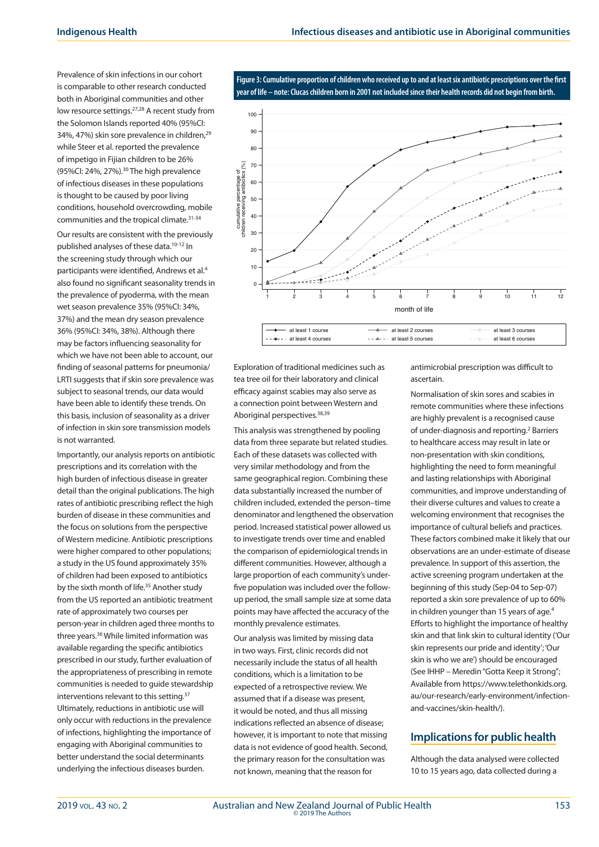Prevalence of skin infections in our cohort is comparable to other research conducted both in Aboriginal communities and other low resource settings.27,28 A recent study from the Solomon Islands reported 40% (95%CI: 34%, 47%) skin sore prevalence in children,29 while Steer et al. reported the prevalence of impetigo in Fijian children to be 26% (95%CI: 24%, 27%).30 The high prevalence of infectious diseases in these populations is thought to be caused by poor living conditions, household overcrowding, mobile communities and the tropical climate.<sup>31-34</sup>

Our results are consistent with the previously published analyses of these data.<sup>10-12</sup> In the screening study through which our participants were identified, Andrews et al.4 also found no significant seasonality trends in the prevalence of pyoderma, with the mean wet season prevalence 35% (95%CI: 34%, 37%) and the mean dry season prevalence 36% (95%CI: 34%, 38%). Although there may be factors influencing seasonality for which we have not been able to account, our finding of seasonal patterns for pneumonia/ LRTI suggests that if skin sore prevalence was subject to seasonal trends, our data would have been able to identify these trends. On this basis, inclusion of seasonality as a driver of infection in skin sore transmission models is not warranted.

Importantly, our analysis reports on antibiotic prescriptions and its correlation with the high burden of infectious disease in greater detail than the original publications. The high rates of antibiotic prescribing reflect the high burden of disease in these communities and the focus on solutions from the perspective of Western medicine. Antibiotic prescriptions were higher compared to other populations; a study in the US found approximately 35% of children had been exposed to antibiotics by the sixth month of life.<sup>35</sup> Another study from the US reported an antibiotic treatment rate of approximately two courses per person-year in children aged three months to three years.36 While limited information was available regarding the specific antibiotics prescribed in our study, further evaluation of the appropriateness of prescribing in remote communities is needed to guide stewardship interventions relevant to this setting.<sup>37</sup> Ultimately, reductions in antibiotic use will only occur with reductions in the prevalence of infections, highlighting the importance of engaging with Aboriginal communities to better understand the social determinants underlying the infectious diseases burden.

**Figure 3: Cumulative proportion of children who received up to and at least six antibiotic prescriptions over the first year of life – note: Clucas children born in 2001 not included since their health records did not begin from birth.**



Exploration of traditional medicines such as tea tree oil for their laboratory and clinical efficacy against scabies may also serve as a connection point between Western and Aboriginal perspectives.38,39

This analysis was strengthened by pooling data from three separate but related studies. Each of these datasets was collected with very similar methodology and from the same geographical region. Combining these data substantially increased the number of children included, extended the person–time denominator and lengthened the observation period. Increased statistical power allowed us to investigate trends over time and enabled the comparison of epidemiological trends in different communities. However, although a large proportion of each community's underfive population was included over the followup period, the small sample size at some data points may have affected the accuracy of the monthly prevalence estimates.

Our analysis was limited by missing data in two ways. First, clinic records did not necessarily include the status of all health conditions, which is a limitation to be expected of a retrospective review. We assumed that if a disease was present, it would be noted, and thus all missing indications reflected an absence of disease; however, it is important to note that missing data is not evidence of good health. Second, the primary reason for the consultation was not known, meaning that the reason for

antimicrobial prescription was difficult to ascertain.

Normalisation of skin sores and scabies in remote communities where these infections are highly prevalent is a recognised cause of under-diagnosis and reporting.<sup>2</sup> Barriers to healthcare access may result in late or non-presentation with skin conditions, highlighting the need to form meaningful and lasting relationships with Aboriginal communities, and improve understanding of their diverse cultures and values to create a welcoming environment that recognises the importance of cultural beliefs and practices. These factors combined make it likely that our observations are an under-estimate of disease prevalence. In support of this assertion, the active screening program undertaken at the beginning of this study (Sep-04 to Sep-07) reported a skin sore prevalence of up to 60% in children younger than 15 years of age.<sup>4</sup> Efforts to highlight the importance of healthy skin and that link skin to cultural identity ('Our skin represents our pride and identity'; 'Our skin is who we are') should be encouraged (See IHHP – Meredin "Gotta Keep it Strong"; Available from https://www.telethonkids.org. au/our-research/early-environment/infectionand-vaccines/skin-health/).

## **Implications for public health**

Although the data analysed were collected 10 to 15 years ago, data collected during a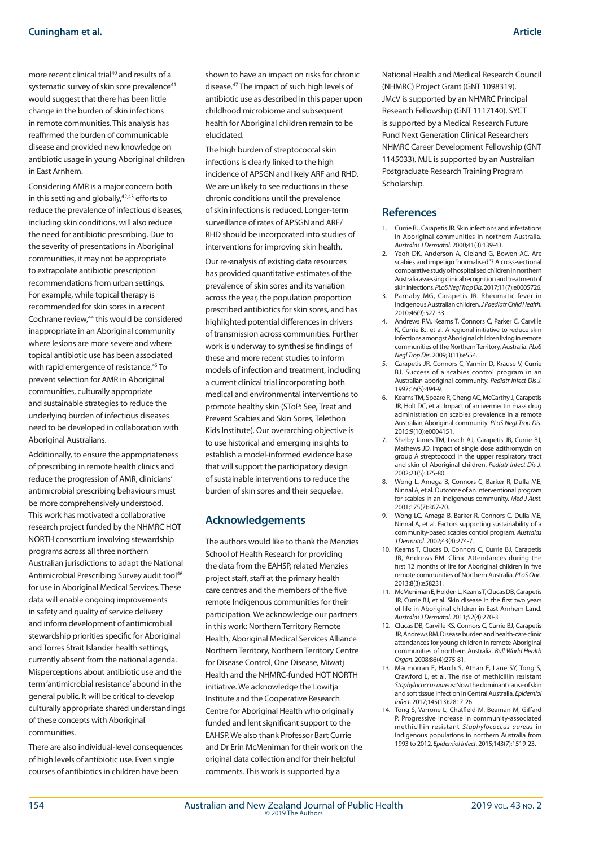more recent clinical trial40 and results of a systematic survey of skin sore prevalence<sup>41</sup> would suggest that there has been little change in the burden of skin infections in remote communities. This analysis has reaffirmed the burden of communicable disease and provided new knowledge on antibiotic usage in young Aboriginal children in East Arnhem.

Considering AMR is a major concern both in this setting and globally, $42,43$  efforts to reduce the prevalence of infectious diseases, including skin conditions, will also reduce the need for antibiotic prescribing. Due to the severity of presentations in Aboriginal communities, it may not be appropriate to extrapolate antibiotic prescription recommendations from urban settings. For example, while topical therapy is recommended for skin sores in a recent Cochrane review,<sup>44</sup> this would be considered inappropriate in an Aboriginal community where lesions are more severe and where topical antibiotic use has been associated with rapid emergence of resistance.<sup>45</sup> To prevent selection for AMR in Aboriginal communities, culturally appropriate and sustainable strategies to reduce the underlying burden of infectious diseases need to be developed in collaboration with Aboriginal Australians.

Additionally, to ensure the appropriateness of prescribing in remote health clinics and reduce the progression of AMR, clinicians' antimicrobial prescribing behaviours must be more comprehensively understood. This work has motivated a collaborative research project funded by the NHMRC HOT NORTH consortium involving stewardship programs across all three northern Australian jurisdictions to adapt the National Antimicrobial Prescribing Survey audit tool<sup>46</sup> for use in Aboriginal Medical Services. These data will enable ongoing improvements in safety and quality of service delivery and inform development of antimicrobial stewardship priorities specific for Aboriginal and Torres Strait Islander health settings, currently absent from the national agenda. Misperceptions about antibiotic use and the term 'antimicrobial resistance' abound in the general public. It will be critical to develop culturally appropriate shared understandings of these concepts with Aboriginal communities.

There are also individual-level consequences of high levels of antibiotic use. Even single courses of antibiotics in children have been

shown to have an impact on risks for chronic disease.47 The impact of such high levels of antibiotic use as described in this paper upon childhood microbiome and subsequent health for Aboriginal children remain to be elucidated.

The high burden of streptococcal skin infections is clearly linked to the high incidence of APSGN and likely ARF and RHD. We are unlikely to see reductions in these chronic conditions until the prevalence of skin infections is reduced. Longer-term surveillance of rates of APSGN and ARF/ RHD should be incorporated into studies of interventions for improving skin health.

Our re-analysis of existing data resources has provided quantitative estimates of the prevalence of skin sores and its variation across the year, the population proportion prescribed antibiotics for skin sores, and has highlighted potential differences in drivers of transmission across communities. Further work is underway to synthesise findings of these and more recent studies to inform models of infection and treatment, including a current clinical trial incorporating both medical and environmental interventions to promote healthy skin (SToP: See, Treat and Prevent Scabies and Skin Sores, Telethon Kids Institute). Our overarching objective is to use historical and emerging insights to establish a model-informed evidence base that will support the participatory design of sustainable interventions to reduce the burden of skin sores and their sequelae.

## **Acknowledgements**

The authors would like to thank the Menzies School of Health Research for providing the data from the EAHSP, related Menzies project staff, staff at the primary health care centres and the members of the five remote Indigenous communities for their participation. We acknowledge our partners in this work: Northern Territory Remote Health, Aboriginal Medical Services Alliance Northern Territory, Northern Territory Centre for Disease Control, One Disease, Miwatj Health and the NHMRC-funded HOT NORTH initiative. We acknowledge the Lowitja Institute and the Cooperative Research Centre for Aboriginal Health who originally funded and lent significant support to the EAHSP. We also thank Professor Bart Currie and Dr Erin McMeniman for their work on the original data collection and for their helpful comments. This work is supported by a

National Health and Medical Research Council (NHMRC) Project Grant (GNT 1098319). JMcV is supported by an NHMRC Principal Research Fellowship (GNT 1117140). SYCT is supported by a Medical Research Future Fund Next Generation Clinical Researchers NHMRC Career Development Fellowship (GNT 1145033). MJL is supported by an Australian Postgraduate Research Training Program Scholarship.

## **References**

- 1. Currie BJ, Carapetis JR. Skin infections and infestations in Aboriginal communities in northern Australia. *Australas J Dermatol*. 2000;41(3):139-43.
- Yeoh DK, Anderson A, Cleland G, Bowen AC. Are scabies and impetigo "normalised"? A cross-sectional comparative study of hospitalised children in northern Australia assessing clinical recognition and treatment of skin infections. *PLoS Negl Trop Dis*. 2017;11(7):e0005726.
- Parnaby MG, Carapetis JR. Rheumatic fever in Indigenous Australian children. *J Paediatr Child Health*. 2010;46(9):527-33.
- 4. Andrews RM, Kearns T, Connors C, Parker C, Carville K, Currie BJ, et al. A regional initiative to reduce skin infections amongst Aboriginal children living in remote communities of the Northern Territory, Australia. *PLoS Negl Trop Dis*. 2009;3(11):e554.
- 5. Carapetis JR, Connors C, Yarmirr D, Krause V, Currie BJ. Success of a scabies control program in an Australian aboriginal community. *Pediatr Infect Dis J*. 1997;16(5):494-9.
- 6. Kearns TM, Speare R, Cheng AC, McCarthy J, Carapetis JR, Holt DC, et al. Impact of an ivermectin mass drug administration on scabies prevalence in a remote Australian Aboriginal community. *PLoS Negl Trop Dis*. 2015;9(10):e0004151.
- 7. Shelby-James TM, Leach AJ, Carapetis JR, Currie BJ, Mathews JD. Impact of single dose azithromycin on group A streptococci in the upper respiratory tract and skin of Aboriginal children. *Pediatr Infect Dis J*. 2002;21(5):375-80.
- 8. Wong L, Amega B, Connors C, Barker R, Dulla ME, Ninnal A, et al. Outcome of an interventional program for scabies in an Indigenous community. *Med J Aust*. 2001;175(7):367-70.
- 9. Wong LC, Amega B, Barker R, Connors C, Dulla ME, Ninnal A, et al. Factors supporting sustainability of a community‐based scabies control program. *Australas J Dermatol*. 2002;43(4):274-7.
- 10. Kearns T, Clucas D, Connors C, Currie BJ, Carapetis JR, Andrews RM. Clinic Attendances during the first 12 months of life for Aboriginal children in five remote communities of Northern Australia. *PLoS One*. 2013;8(3):e58231.
- 11. McMeniman E, Holden L, Kearns T, Clucas DB, Carapetis JR, Currie BJ, et al. Skin disease in the first two years of life in Aboriginal children in East Arnhem Land. *Australas J Dermatol*. 2011;52(4):270-3.
- 12. Clucas DB, Carville KS, Connors C, Currie BJ, Carapetis JR, Andrews RM. Disease burden and health-care clinic attendances for young children in remote Aboriginal communities of northern Australia. *Bull World Health Organ*. 2008;86(4):275-81.
- 13. Macmorran E, Harch S, Athan E, Lane SY, Tong S, Crawford L, et al. The rise of methicillin resistant *Staphylococcus aureu*s: Now the dominant cause of skin and soft tissue infection in Central Australia. *Epidemiol Infect*. 2017;145(13):2817-26.
- 14. Tong S, Varrone L, Chatfield M, Beaman M, Giffard P. Progressive increase in community-associated methicillin-resistant *Staphylococcus aureus* in Indigenous populations in northern Australia from 1993 to 2012. *Epidemiol Infect*. 2015;143(7):1519-23.